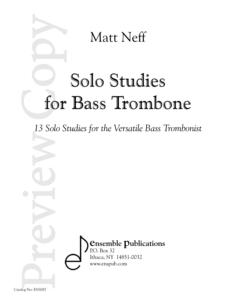

# Solo Studies for Bass Trombone

*13 Solo Studies for the Versatile Bass Trombonist*

**ensemble publications** P.O. Box 32 Ithaca, NY 14851-0032 www.enspub.com

Catalog No: ENS087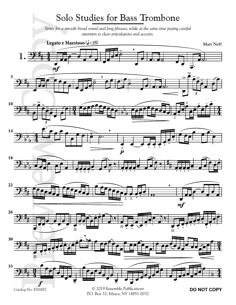#### Solo Studies for Bass Trombone

*Strive for a smooth broad sound and long phrases, while at the same time paying careful attention to clear articulations and accents.*

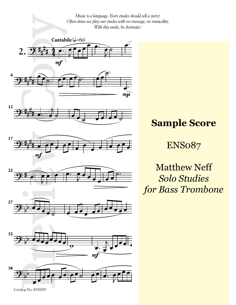

Catalog No: ENS087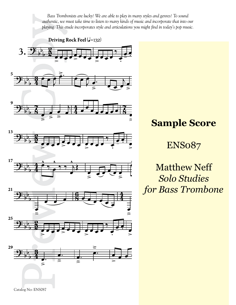*Bass Trombonists are lucky! We are able to play in many styles and genres! To sound authentic, we must take time to listen to many kinds of music and incorporate that into our playing. This etude incorporates style and articulations you might find in today's pop music.*

Driving Rock Feel (J=132)

















### **Sample Score**

#### ENS087

Matthew Neff *Solo Studies for Bass Trombone*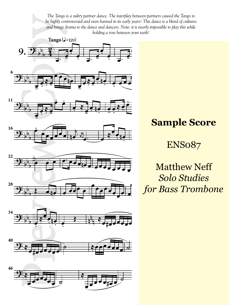*The Tango is a sultry partner dance. The interplay between partners caused the Tango to be highly controversial and even banned in its early years! This dance is a blend of cultures and brings drama to the dance and dancers. Note: it is nearly impossible to play this while holding a rose between your teeth!*



















## **Sample Score**

ENS087

Matthew Neff *Solo Studies for Bass Trombone*